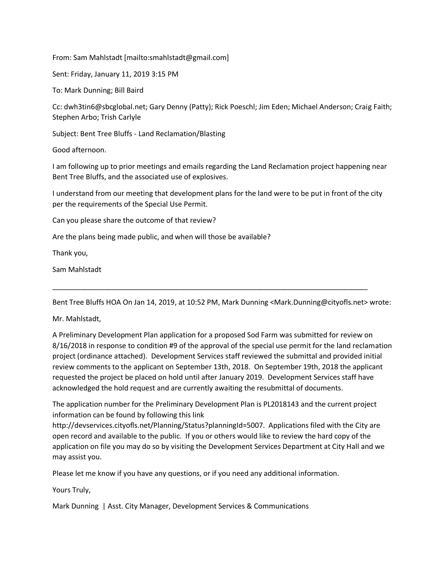From: Sam Mahlstadt [mailto:smahlstadt@gmail.com]

Sent: Friday, January 11, 2019 3:15 PM

To: Mark Dunning; Bill Baird

Cc: dwh3tin6@sbcglobal.net; Gary Denny (Patty); Rick Poeschl; Jim Eden; Michael Anderson; Craig Faith; Stephen Arbo; Trish Carlyle

Subject: Bent Tree Bluffs - Land Reclamation/Blasting

Good afternoon.

I am following up to prior meetings and emails regarding the Land Reclamation project happening near Bent Tree Bluffs, and the associated use of explosives.

I understand from our meeting that development plans for the land were to be put in front of the city per the requirements of the Special Use Permit.

Can you please share the outcome of that review?

Are the plans being made public, and when will those be available?

Thank you,

Sam Mahlstadt

Bent Tree Bluffs HOA On Jan 14, 2019, at 10:52 PM, Mark Dunning <Mark.Dunning@cityofls.net> wrote:

\_\_\_\_\_\_\_\_\_\_\_\_\_\_\_\_\_\_\_\_\_\_\_\_\_\_\_\_\_\_\_\_\_\_\_\_\_\_\_\_\_\_\_\_\_\_\_\_\_\_\_\_\_\_\_\_\_\_\_\_\_\_\_\_\_\_\_\_\_\_\_\_\_\_\_\_\_\_\_

Mr. Mahlstadt,

A Preliminary Development Plan application for a proposed Sod Farm was submitted for review on 8/16/2018 in response to condition #9 of the approval of the special use permit for the land reclamation project (ordinance attached). Development Services staff reviewed the submittal and provided initial review comments to the applicant on September 13th, 2018. On September 19th, 2018 the applicant requested the project be placed on hold until after January 2019. Development Services staff have acknowledged the hold request and are currently awaiting the resubmittal of documents.

The application number for the Preliminary Development Plan is PL2018143 and the current project information can be found by following this link

http://devservices.cityofls.net/Planning/Status?planningId=5007. Applications filed with the City are open record and available to the public. If you or others would like to review the hard copy of the application on file you may do so by visiting the Development Services Department at City Hall and we may assist you.

Please let me know if you have any questions, or if you need any additional information.

Yours Truly,

Mark Dunning | Asst. City Manager, Development Services & Communications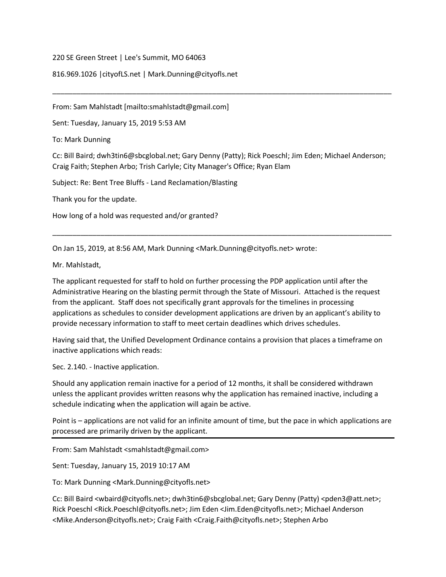220 SE Green Street | Lee's Summit, MO 64063

816.969.1026 |cityofLS.net | Mark.Dunning@cityofls.net

From: Sam Mahlstadt [mailto:smahlstadt@gmail.com]

Sent: Tuesday, January 15, 2019 5:53 AM

To: Mark Dunning

Cc: Bill Baird; dwh3tin6@sbcglobal.net; Gary Denny (Patty); Rick Poeschl; Jim Eden; Michael Anderson; Craig Faith; Stephen Arbo; Trish Carlyle; City Manager's Office; Ryan Elam

\_\_\_\_\_\_\_\_\_\_\_\_\_\_\_\_\_\_\_\_\_\_\_\_\_\_\_\_\_\_\_\_\_\_\_\_\_\_\_\_\_\_\_\_\_\_\_\_\_\_\_\_\_\_\_\_\_\_\_\_\_\_\_\_\_\_\_\_\_\_\_\_\_\_\_\_\_\_\_\_\_\_\_\_\_

\_\_\_\_\_\_\_\_\_\_\_\_\_\_\_\_\_\_\_\_\_\_\_\_\_\_\_\_\_\_\_\_\_\_\_\_\_\_\_\_\_\_\_\_\_\_\_\_\_\_\_\_\_\_\_\_\_\_\_\_\_\_\_\_\_\_\_\_\_\_\_\_\_\_\_\_\_\_\_\_\_\_\_\_\_

Subject: Re: Bent Tree Bluffs - Land Reclamation/Blasting

Thank you for the update.

How long of a hold was requested and/or granted?

On Jan 15, 2019, at 8:56 AM, Mark Dunning <Mark.Dunning@cityofls.net> wrote:

Mr. Mahlstadt,

The applicant requested for staff to hold on further processing the PDP application until after the Administrative Hearing on the blasting permit through the State of Missouri. Attached is the request from the applicant. Staff does not specifically grant approvals for the timelines in processing applications as schedules to consider development applications are driven by an applicant's ability to provide necessary information to staff to meet certain deadlines which drives schedules.

Having said that, the Unified Development Ordinance contains a provision that places a timeframe on inactive applications which reads:

Sec. 2.140. - Inactive application.

Should any application remain inactive for a period of 12 months, it shall be considered withdrawn unless the applicant provides written reasons why the application has remained inactive, including a schedule indicating when the application will again be active.

Point is – applications are not valid for an infinite amount of time, but the pace in which applications are processed are primarily driven by the applicant.

From: Sam Mahlstadt <smahlstadt@gmail.com>

Sent: Tuesday, January 15, 2019 10:17 AM

To: Mark Dunning <Mark.Dunning@cityofls.net>

Cc: Bill Baird <wbaird@cityofls.net>; dwh3tin6@sbcglobal.net; Gary Denny (Patty) <pden3@att.net>; Rick Poeschl <Rick.Poeschl@cityofls.net>; Jim Eden <Jim.Eden@cityofls.net>; Michael Anderson <Mike.Anderson@cityofls.net>; Craig Faith <Craig.Faith@cityofls.net>; Stephen Arbo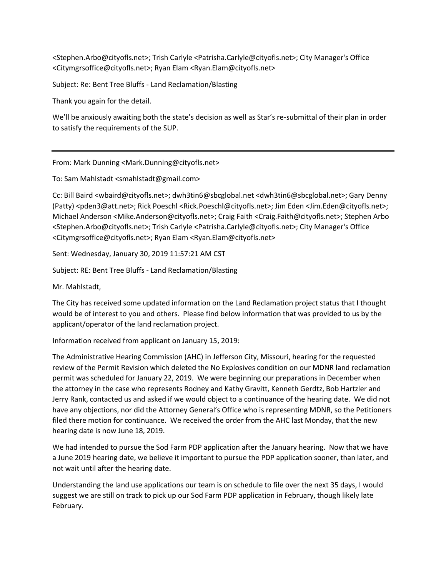<Stephen.Arbo@cityofls.net>; Trish Carlyle <Patrisha.Carlyle@cityofls.net>; City Manager's Office <Citymgrsoffice@cityofls.net>; Ryan Elam <Ryan.Elam@cityofls.net>

Subject: Re: Bent Tree Bluffs - Land Reclamation/Blasting

Thank you again for the detail.

We'll be anxiously awaiting both the state's decision as well as Star's re-submittal of their plan in order to satisfy the requirements of the SUP.

From: Mark Dunning <Mark.Dunning@cityofls.net>

To: Sam Mahlstadt <smahlstadt@gmail.com>

Cc: Bill Baird <wbaird@cityofls.net>; dwh3tin6@sbcglobal.net <dwh3tin6@sbcglobal.net>; Gary Denny (Patty) <pden3@att.net>; Rick Poeschl <Rick.Poeschl@cityofls.net>; Jim Eden <Jim.Eden@cityofls.net>; Michael Anderson <Mike.Anderson@cityofls.net>; Craig Faith <Craig.Faith@cityofls.net>; Stephen Arbo <Stephen.Arbo@cityofls.net>; Trish Carlyle <Patrisha.Carlyle@cityofls.net>; City Manager's Office <Citymgrsoffice@cityofls.net>; Ryan Elam <Ryan.Elam@cityofls.net>

Sent: Wednesday, January 30, 2019 11:57:21 AM CST

Subject: RE: Bent Tree Bluffs - Land Reclamation/Blasting

Mr. Mahlstadt,

The City has received some updated information on the Land Reclamation project status that I thought would be of interest to you and others. Please find below information that was provided to us by the applicant/operator of the land reclamation project.

Information received from applicant on January 15, 2019:

The Administrative Hearing Commission (AHC) in Jefferson City, Missouri, hearing for the requested review of the Permit Revision which deleted the No Explosives condition on our MDNR land reclamation permit was scheduled for January 22, 2019. We were beginning our preparations in December when the attorney in the case who represents Rodney and Kathy Gravitt, Kenneth Gerdtz, Bob Hartzler and Jerry Rank, contacted us and asked if we would object to a continuance of the hearing date. We did not have any objections, nor did the Attorney General's Office who is representing MDNR, so the Petitioners filed there motion for continuance. We received the order from the AHC last Monday, that the new hearing date is now June 18, 2019.

We had intended to pursue the Sod Farm PDP application after the January hearing. Now that we have a June 2019 hearing date, we believe it important to pursue the PDP application sooner, than later, and not wait until after the hearing date.

Understanding the land use applications our team is on schedule to file over the next 35 days, I would suggest we are still on track to pick up our Sod Farm PDP application in February, though likely late February.